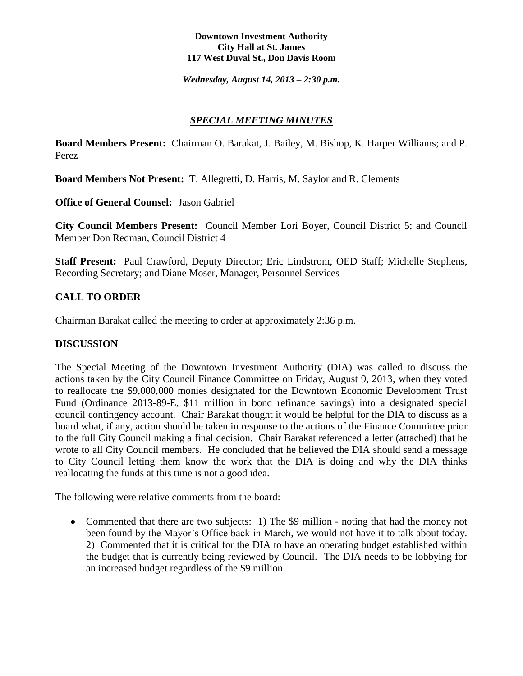#### **Downtown Investment Authority City Hall at St. James 117 West Duval St., Don Davis Room**

*Wednesday, August 14, 2013 – 2:30 p.m.*

## *SPECIAL MEETING MINUTES*

**Board Members Present:** Chairman O. Barakat, J. Bailey, M. Bishop, K. Harper Williams; and P. Perez

**Board Members Not Present:** T. Allegretti, D. Harris, M. Saylor and R. Clements

**Office of General Counsel:** Jason Gabriel

**City Council Members Present:** Council Member Lori Boyer, Council District 5; and Council Member Don Redman, Council District 4

**Staff Present:** Paul Crawford, Deputy Director; Eric Lindstrom, OED Staff; Michelle Stephens, Recording Secretary; and Diane Moser, Manager, Personnel Services

### **CALL TO ORDER**

Chairman Barakat called the meeting to order at approximately 2:36 p.m.

### **DISCUSSION**

The Special Meeting of the Downtown Investment Authority (DIA) was called to discuss the actions taken by the City Council Finance Committee on Friday, August 9, 2013, when they voted to reallocate the \$9,000,000 monies designated for the Downtown Economic Development Trust Fund (Ordinance 2013-89-E, \$11 million in bond refinance savings) into a designated special council contingency account. Chair Barakat thought it would be helpful for the DIA to discuss as a board what, if any, action should be taken in response to the actions of the Finance Committee prior to the full City Council making a final decision. Chair Barakat referenced a letter (attached) that he wrote to all City Council members. He concluded that he believed the DIA should send a message to City Council letting them know the work that the DIA is doing and why the DIA thinks reallocating the funds at this time is not a good idea.

The following were relative comments from the board:

• Commented that there are two subjects: 1) The \$9 million - noting that had the money not been found by the Mayor's Office back in March, we would not have it to talk about today. 2) Commented that it is critical for the DIA to have an operating budget established within the budget that is currently being reviewed by Council. The DIA needs to be lobbying for an increased budget regardless of the \$9 million.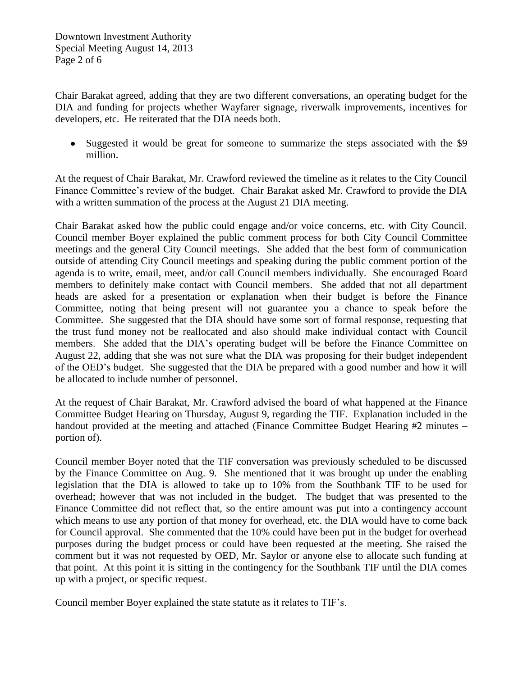Chair Barakat agreed, adding that they are two different conversations, an operating budget for the DIA and funding for projects whether Wayfarer signage, riverwalk improvements, incentives for developers, etc. He reiterated that the DIA needs both.

Suggested it would be great for someone to summarize the steps associated with the \$9 million.

At the request of Chair Barakat, Mr. Crawford reviewed the timeline as it relates to the City Council Finance Committee's review of the budget. Chair Barakat asked Mr. Crawford to provide the DIA with a written summation of the process at the August 21 DIA meeting.

Chair Barakat asked how the public could engage and/or voice concerns, etc. with City Council. Council member Boyer explained the public comment process for both City Council Committee meetings and the general City Council meetings. She added that the best form of communication outside of attending City Council meetings and speaking during the public comment portion of the agenda is to write, email, meet, and/or call Council members individually. She encouraged Board members to definitely make contact with Council members. She added that not all department heads are asked for a presentation or explanation when their budget is before the Finance Committee, noting that being present will not guarantee you a chance to speak before the Committee. She suggested that the DIA should have some sort of formal response, requesting that the trust fund money not be reallocated and also should make individual contact with Council members. She added that the DIA's operating budget will be before the Finance Committee on August 22, adding that she was not sure what the DIA was proposing for their budget independent of the OED's budget. She suggested that the DIA be prepared with a good number and how it will be allocated to include number of personnel.

At the request of Chair Barakat, Mr. Crawford advised the board of what happened at the Finance Committee Budget Hearing on Thursday, August 9, regarding the TIF. Explanation included in the handout provided at the meeting and attached (Finance Committee Budget Hearing #2 minutes – portion of).

Council member Boyer noted that the TIF conversation was previously scheduled to be discussed by the Finance Committee on Aug. 9. She mentioned that it was brought up under the enabling legislation that the DIA is allowed to take up to 10% from the Southbank TIF to be used for overhead; however that was not included in the budget. The budget that was presented to the Finance Committee did not reflect that, so the entire amount was put into a contingency account which means to use any portion of that money for overhead, etc. the DIA would have to come back for Council approval. She commented that the 10% could have been put in the budget for overhead purposes during the budget process or could have been requested at the meeting. She raised the comment but it was not requested by OED, Mr. Saylor or anyone else to allocate such funding at that point. At this point it is sitting in the contingency for the Southbank TIF until the DIA comes up with a project, or specific request.

Council member Boyer explained the state statute as it relates to TIF's.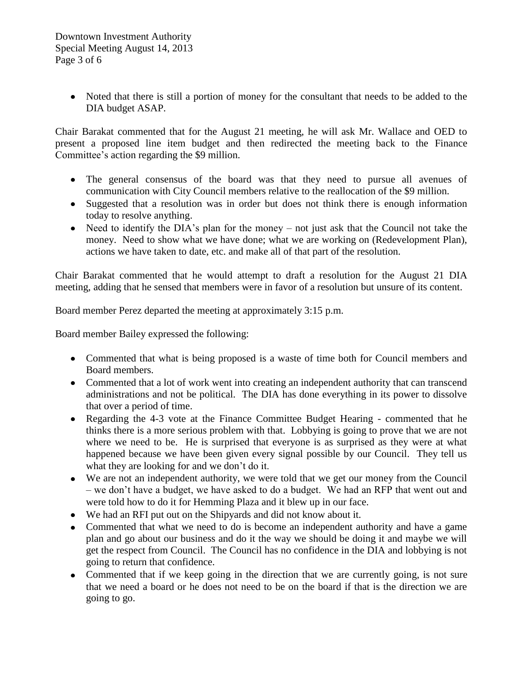• Noted that there is still a portion of money for the consultant that needs to be added to the DIA budget ASAP.

Chair Barakat commented that for the August 21 meeting, he will ask Mr. Wallace and OED to present a proposed line item budget and then redirected the meeting back to the Finance Committee's action regarding the \$9 million.

- The general consensus of the board was that they need to pursue all avenues of communication with City Council members relative to the reallocation of the \$9 million.
- Suggested that a resolution was in order but does not think there is enough information today to resolve anything.
- Need to identify the DIA's plan for the money not just ask that the Council not take the money. Need to show what we have done; what we are working on (Redevelopment Plan), actions we have taken to date, etc. and make all of that part of the resolution.

Chair Barakat commented that he would attempt to draft a resolution for the August 21 DIA meeting, adding that he sensed that members were in favor of a resolution but unsure of its content.

Board member Perez departed the meeting at approximately 3:15 p.m.

Board member Bailey expressed the following:

- Commented that what is being proposed is a waste of time both for Council members and Board members.
- Commented that a lot of work went into creating an independent authority that can transcend administrations and not be political. The DIA has done everything in its power to dissolve that over a period of time.
- Regarding the 4-3 vote at the Finance Committee Budget Hearing commented that he thinks there is a more serious problem with that. Lobbying is going to prove that we are not where we need to be. He is surprised that everyone is as surprised as they were at what happened because we have been given every signal possible by our Council. They tell us what they are looking for and we don't do it.
- We are not an independent authority, we were told that we get our money from the Council – we don't have a budget, we have asked to do a budget. We had an RFP that went out and were told how to do it for Hemming Plaza and it blew up in our face.
- We had an RFI put out on the Shipyards and did not know about it.
- Commented that what we need to do is become an independent authority and have a game plan and go about our business and do it the way we should be doing it and maybe we will get the respect from Council. The Council has no confidence in the DIA and lobbying is not going to return that confidence.
- Commented that if we keep going in the direction that we are currently going, is not sure that we need a board or he does not need to be on the board if that is the direction we are going to go.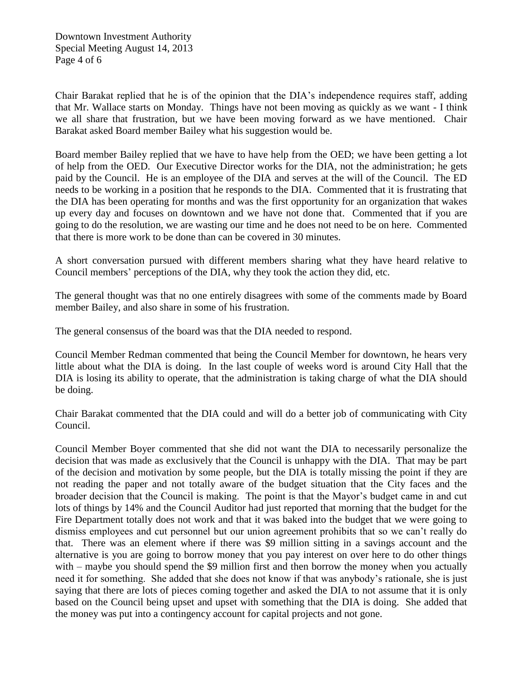Downtown Investment Authority Special Meeting August 14, 2013 Page 4 of 6

Chair Barakat replied that he is of the opinion that the DIA's independence requires staff, adding that Mr. Wallace starts on Monday. Things have not been moving as quickly as we want - I think we all share that frustration, but we have been moving forward as we have mentioned. Chair Barakat asked Board member Bailey what his suggestion would be.

Board member Bailey replied that we have to have help from the OED; we have been getting a lot of help from the OED. Our Executive Director works for the DIA, not the administration; he gets paid by the Council. He is an employee of the DIA and serves at the will of the Council. The ED needs to be working in a position that he responds to the DIA. Commented that it is frustrating that the DIA has been operating for months and was the first opportunity for an organization that wakes up every day and focuses on downtown and we have not done that. Commented that if you are going to do the resolution, we are wasting our time and he does not need to be on here. Commented that there is more work to be done than can be covered in 30 minutes.

A short conversation pursued with different members sharing what they have heard relative to Council members' perceptions of the DIA, why they took the action they did, etc.

The general thought was that no one entirely disagrees with some of the comments made by Board member Bailey, and also share in some of his frustration.

The general consensus of the board was that the DIA needed to respond.

Council Member Redman commented that being the Council Member for downtown, he hears very little about what the DIA is doing. In the last couple of weeks word is around City Hall that the DIA is losing its ability to operate, that the administration is taking charge of what the DIA should be doing.

Chair Barakat commented that the DIA could and will do a better job of communicating with City Council.

Council Member Boyer commented that she did not want the DIA to necessarily personalize the decision that was made as exclusively that the Council is unhappy with the DIA. That may be part of the decision and motivation by some people, but the DIA is totally missing the point if they are not reading the paper and not totally aware of the budget situation that the City faces and the broader decision that the Council is making. The point is that the Mayor's budget came in and cut lots of things by 14% and the Council Auditor had just reported that morning that the budget for the Fire Department totally does not work and that it was baked into the budget that we were going to dismiss employees and cut personnel but our union agreement prohibits that so we can't really do that. There was an element where if there was \$9 million sitting in a savings account and the alternative is you are going to borrow money that you pay interest on over here to do other things with – maybe you should spend the \$9 million first and then borrow the money when you actually need it for something. She added that she does not know if that was anybody's rationale, she is just saying that there are lots of pieces coming together and asked the DIA to not assume that it is only based on the Council being upset and upset with something that the DIA is doing. She added that the money was put into a contingency account for capital projects and not gone.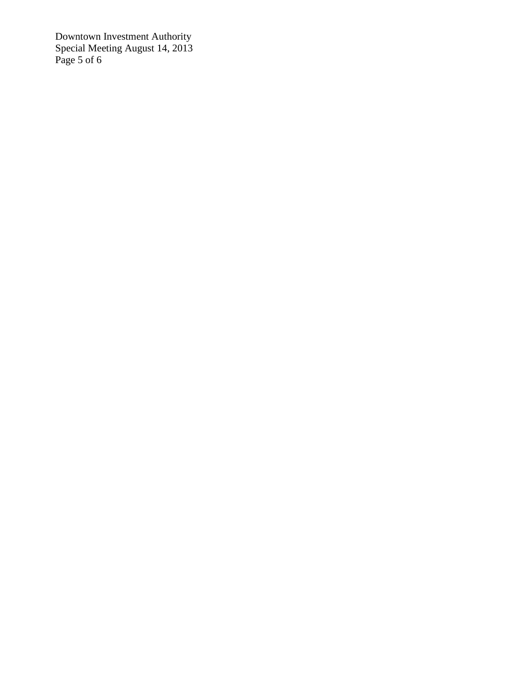Downtown Investment Authority Special Meeting August 14, 2013 Page 5 of 6